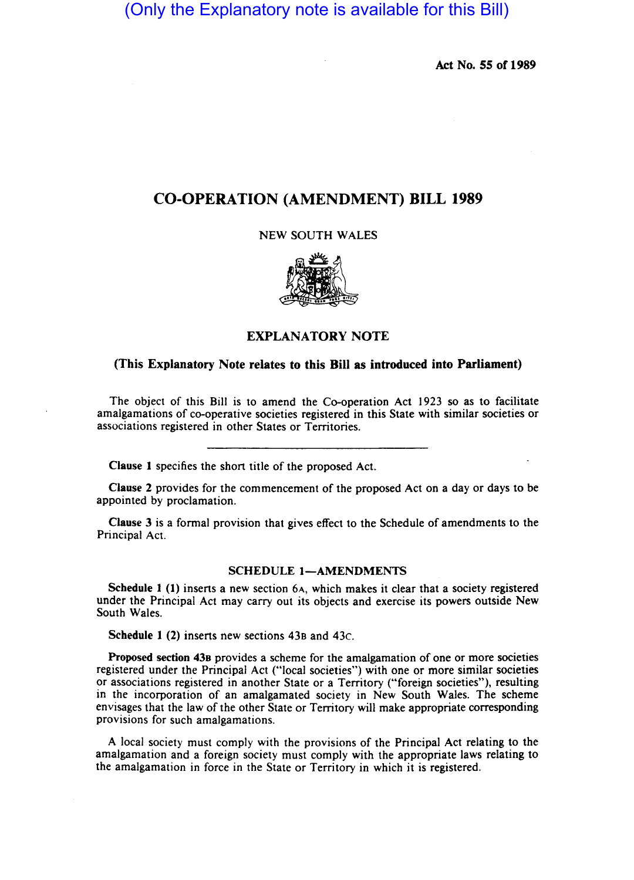(Only the Explanatory note is available for this Bill)

Act No. SS of 1989

## CO-OPERATION (AMENDMENT) BILL 1989

NEW SOUTH WALES



## EXPLANATORY NOTE

## (This Explanatory Note relates to this Bill as introduced into Parliament)

The object of this Bill is to amend the Co-operation Act 1923 so as to facilitate amalgamations of co-operative societies registered in this State with similar societies or associations registered in other States or Territories.

Clause 1 specifies the short title of the proposed Act.

Clause 2 provides for the commencement of the proposed Act on a day or days to be appointed by proclamation.

Clause 3 is a formal provision that gives effect to the Schedule of amendments to the Principal Act.

## SCHEDULE 1-AMENDMENTS

Schedule  $1$  (1) inserts a new section 6A, which makes it clear that a society registered under the Principal Act may carry out its objects and exercise its powers outside New South Wales.

Schedule I (2) inserts new sections 438 and 43c.

Proposed section 438 provides a scheme for the amalgamation of one or more societies registered under the Principal Act ("local societies") with one or more similar societies or associations registered in another State or a Territory ("foreign societies"), resulting in the incorporation of an amalgamated society in New South Wales. The scheme envisages that the law of the other State or Territory will make appropriate corresponding provisions for such amalgamations.

A local society must comply with the provisions of the Principal Act relating to the amalgamation and a foreign society must comply with the appropriate laws relating to the amalgamation in force in the State or Territory in which it is registered.